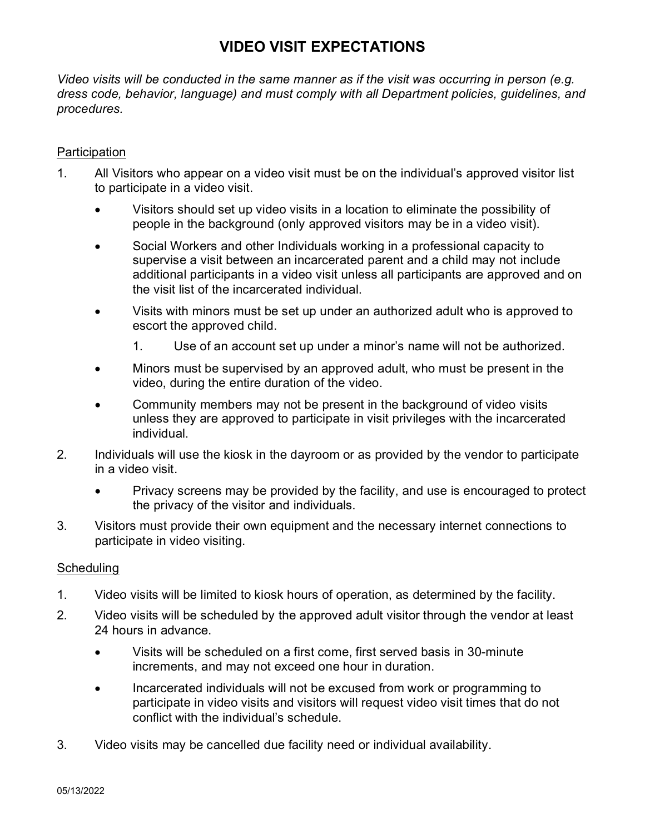# **VIDEO VISIT EXPECTATIONS**

*Video visits will be conducted in the same manner as if the visit was occurring in person (e.g. dress code, behavior, language) and must comply with all Department policies, guidelines, and procedures.*

### **Participation**

- 1. All Visitors who appear on a video visit must be on the individual's approved visitor list to participate in a video visit.
	- Visitors should set up video visits in a location to eliminate the possibility of people in the background (only approved visitors may be in a video visit).
	- Social Workers and other Individuals working in a professional capacity to supervise a visit between an incarcerated parent and a child may not include additional participants in a video visit unless all participants are approved and on the visit list of the incarcerated individual.
	- Visits with minors must be set up under an authorized adult who is approved to escort the approved child.
		- 1. Use of an account set up under a minor's name will not be authorized.
	- Minors must be supervised by an approved adult, who must be present in the video, during the entire duration of the video.
	- Community members may not be present in the background of video visits unless they are approved to participate in visit privileges with the incarcerated individual.
- 2. Individuals will use the kiosk in the dayroom or as provided by the vendor to participate in a video visit.
	- Privacy screens may be provided by the facility, and use is encouraged to protect the privacy of the visitor and individuals.
- 3. Visitors must provide their own equipment and the necessary internet connections to participate in video visiting.

#### **Scheduling**

- 1. Video visits will be limited to kiosk hours of operation, as determined by the facility.
- 2. Video visits will be scheduled by the approved adult visitor through the vendor at least 24 hours in advance.
	- Visits will be scheduled on a first come, first served basis in 30-minute increments, and may not exceed one hour in duration.
	- Incarcerated individuals will not be excused from work or programming to participate in video visits and visitors will request video visit times that do not conflict with the individual's schedule.
- 3. Video visits may be cancelled due facility need or individual availability.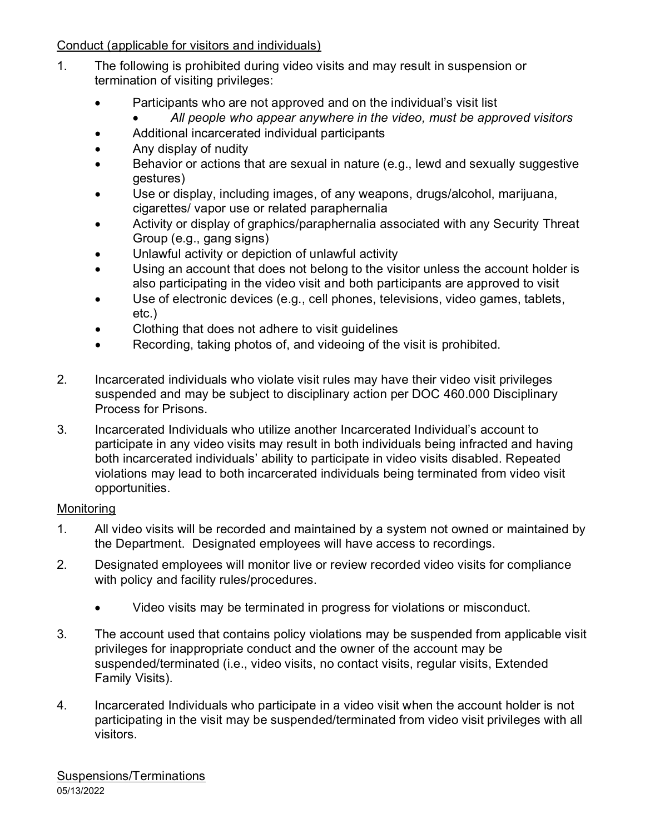Conduct (applicable for visitors and individuals)

- 1. The following is prohibited during video visits and may result in suspension or termination of visiting privileges:
	- Participants who are not approved and on the individual's visit list
		- *All people who appear anywhere in the video, must be approved visitors*
	- Additional incarcerated individual participants
	- Any display of nudity
	- Behavior or actions that are sexual in nature (e.g., lewd and sexually suggestive gestures)
	- Use or display, including images, of any weapons, drugs/alcohol, marijuana, cigarettes/ vapor use or related paraphernalia
	- Activity or display of graphics/paraphernalia associated with any Security Threat Group (e.g., gang signs)
	- Unlawful activity or depiction of unlawful activity
	- Using an account that does not belong to the visitor unless the account holder is also participating in the video visit and both participants are approved to visit
	- Use of electronic devices (e.g., cell phones, televisions, video games, tablets, etc.)
	- Clothing that does not adhere to visit guidelines
	- Recording, taking photos of, and videoing of the visit is prohibited.
- 2. Incarcerated individuals who violate visit rules may have their video visit privileges suspended and may be subject to disciplinary action per DOC 460.000 Disciplinary Process for Prisons.
- 3. Incarcerated Individuals who utilize another Incarcerated Individual's account to participate in any video visits may result in both individuals being infracted and having both incarcerated individuals' ability to participate in video visits disabled. Repeated violations may lead to both incarcerated individuals being terminated from video visit opportunities.

## Monitoring

- 1. All video visits will be recorded and maintained by a system not owned or maintained by the Department. Designated employees will have access to recordings.
- 2. Designated employees will monitor live or review recorded video visits for compliance with policy and facility rules/procedures.
	- Video visits may be terminated in progress for violations or misconduct.
- 3. The account used that contains policy violations may be suspended from applicable visit privileges for inappropriate conduct and the owner of the account may be suspended/terminated (i.e., video visits, no contact visits, regular visits, Extended Family Visits).
- 4. Incarcerated Individuals who participate in a video visit when the account holder is not participating in the visit may be suspended/terminated from video visit privileges with all visitors.